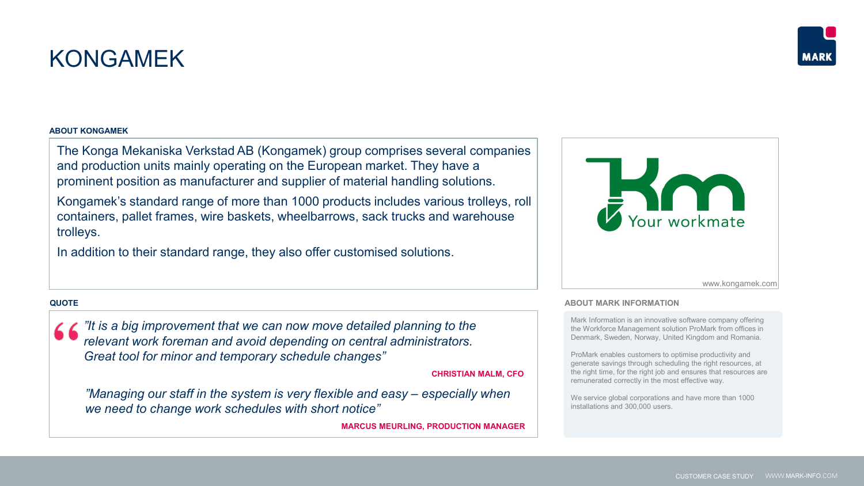# KONGAMEK

## **ABOUT KONGAMEK**

The Konga Mekaniska Verkstad AB (Kongamek) group comprises several companies and production units mainly operating on the European market. They have a prominent position as manufacturer and supplier of material handling solutions.

Kongamek's standard range of more than 1000 products includes various trolleys, roll containers, pallet frames, wire baskets, wheelbarrows, sack trucks and warehouse trolleys.

In addition to their standard range, they also offer customised solutions.

# **QUOTE**

*"It is a big improvement that we can now move detailed planning to the relevant work foreman and avoid depending on central administrators. Great tool for minor and temporary schedule changes"*

**CHRISTIAN MALM, CFO**

*"Managing our staff in the system is very flexible and easy – especially when we need to change work schedules with short notice"*

**MARCUS MEURLING, PRODUCTION MANAGER**



Mark Information is an innovative software company offering the Workforce Management solution ProMark from offices in Denmark, Sweden, Norway, United Kingdom and Romania.

ProMark enables customers to optimise productivity and generate savings through scheduling the right resources, at the right time, for the right job and ensures that resources are remunerated correctly in the most effective way.

We service global corporations and have more than 1000 installations and 300,000 users.

www.kongamek.com



*Logo and picture of*